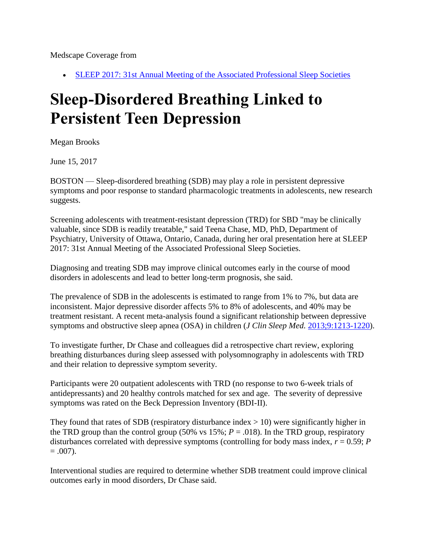Medscape Coverage from

• [SLEEP 2017: 31st Annual Meeting of the Associated Professional Sleep Societies](http://www.medscape.com/viewcollection/34114) 

## **Sleep-Disordered Breathing Linked to Persistent Teen Depression**

Megan Brooks

June 15, 2017

BOSTON — Sleep-disordered breathing (SDB) may play a role in persistent depressive symptoms and poor response to standard pharmacologic treatments in adolescents, new research suggests.

Screening adolescents with treatment-resistant depression (TRD) for SBD "may be clinically valuable, since SDB is readily treatable," said Teena Chase, MD, PhD, Department of Psychiatry, University of Ottawa, Ontario, Canada, during her oral presentation here at SLEEP 2017: 31st Annual Meeting of the Associated Professional Sleep Societies.

Diagnosing and treating SDB may improve clinical outcomes early in the course of mood disorders in adolescents and lead to better long-term prognosis, she said.

The prevalence of SDB in the adolescents is estimated to range from 1% to 7%, but data are inconsistent. Major depressive disorder affects 5% to 8% of adolescents, and 40% may be treatment resistant. A recent meta-analysis found a significant relationship between depressive symptoms and obstructive sleep apnea (OSA) in children (*J Clin Sleep Med.* [2013;9:1213-1220\)](http://www.aasmnet.org/jcsm/ViewAbstract.aspx?pid=29202).

To investigate further, Dr Chase and colleagues did a retrospective chart review, exploring breathing disturbances during sleep assessed with polysomnography in adolescents with TRD and their relation to depressive symptom severity.

Participants were 20 outpatient adolescents with TRD (no response to two 6-week trials of antidepressants) and 20 healthy controls matched for sex and age. The severity of depressive symptoms was rated on the Beck Depression Inventory (BDI-II).

They found that rates of SDB (respiratory disturbance index  $> 10$ ) were significantly higher in the TRD group than the control group (50% vs  $15\%$ ;  $P = .018$ ). In the TRD group, respiratory disturbances correlated with depressive symptoms (controlling for body mass index,  $r = 0.59$ ; *P*  $= .007$ ).

Interventional studies are required to determine whether SDB treatment could improve clinical outcomes early in mood disorders, Dr Chase said.